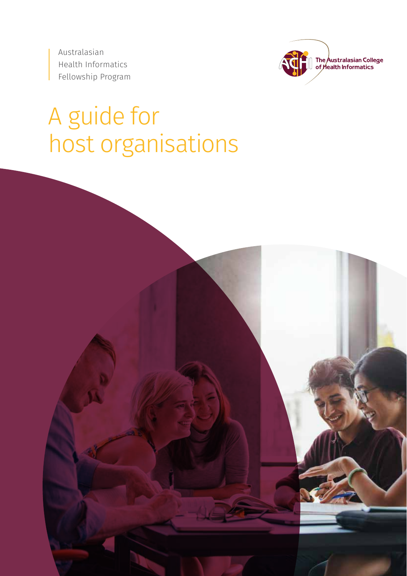Australasian Health Informatics Fellowship Program



# A guide for host organisations

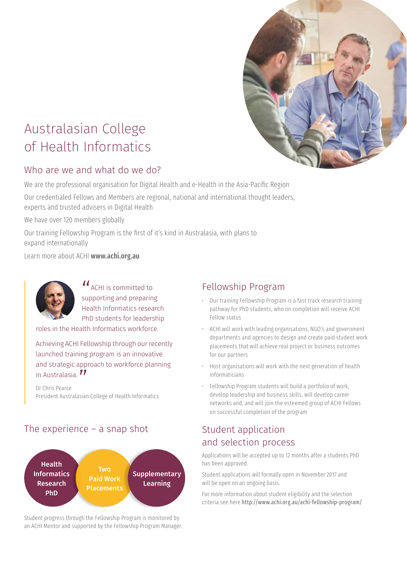

# Australasian College of Health Informatics

## Who are we and what do we do?

We are the professional organisation for Digital Health and e-Health in the Asia-Pacific Region

Our credentialed Fellows and Members are regional, national and international thought leaders, experts and trusted advisers in Digital Health

We have over 120 members globally

Our training Fellowship Program is the first of it's kind in Australasia, with plans to expand internationally

Learn more about ACHI www.achi.org.au



 $u_{\text{ACHI}}$  is committed to supporting and preparing Health Informatics research PhD students for leadership

roles in the Health Informatics workforce.

Achieving ACHI Fellowship through our recently launched training program is an innovative and strategic approach to workforce planning

in Australasia. *11*<br>Dr Chris Pearce Dr Chris Pearce President Australasian College of Health Informatics

## The experience  $-$  a snap shot



Student progress through the Fellowship Program is monitored by an ACHI Mentor and supported by the Fellowship Program Manager.

### Fellowship Program

- Our training Fellowship Program is a fast track research training pathway for PhD students, who on completion will receive ACHI Fellow status
- ACHI will work with leading organisations, NGO's and government departments and agencies to design and create paid student work placements that will achieve real project or business outcomes for our partners
- Host organisations will work with the next generation of health informaticians
- Fellowship Program students will build a portfolio of work, develop leadership and business skills, will develop career networks and, and will join the esteemed group of ACHI Fellows on successful completion of the program

# Student application and selection process

Applications will be accepted up to 12 months after a students PhD has been approved.

Student applications will formally open in November 2017 and will be open on an ongoing basis.

For more information about student eligibility and the selection criteria see here http://www.achi.org.au/achi-fellowship-program/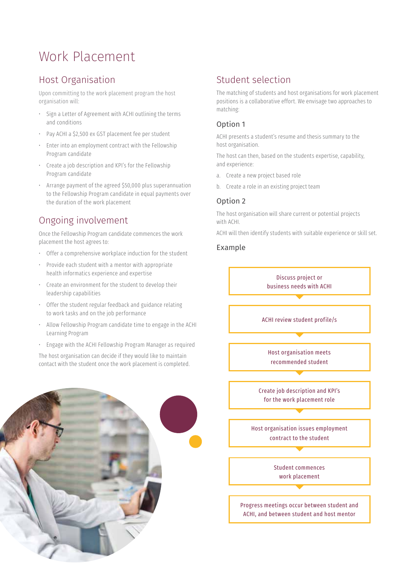# Work Placement

# Host Organisation

Upon committing to the work placement program the host organisation will:

- Sign a Letter of Agreement with ACHI outlining the terms and conditions
- Pay ACHI a \$2,500 ex GST placement fee per student
- Enter into an employment contract with the Fellowship Program candidate
- Create a job description and KPI's for the Fellowship Program candidate
- Arrange payment of the agreed \$50,000 plus superannuation to the Fellowship Program candidate in equal payments over the duration of the work placement

# Ongoing involvement

Once the Fellowship Program candidate commences the work placement the host agrees to:

- Offer a comprehensive workplace induction for the student
- Provide each student with a mentor with appropriate health informatics experience and expertise
- Create an environment for the student to develop their leadership capabilities
- Offer the student regular feedback and guidance relating to work tasks and on the job performance
- Allow Fellowship Program candidate time to engage in the ACHI Learning Program
- Engage with the ACHI Fellowship Program Manager as required

The host organisation can decide if they would like to maintain contact with the student once the work placement is completed.



# Student selection

The matching of students and host organisations for work placement positions is a collaborative effort. We envisage two approaches to matching:

#### Option 1

ACHI presents a student's resume and thesis summary to the host organisation.

The host can then, based on the students expertise, capability, and experience:

- a. Create a new project based role
- b. Create a role in an existing project team

#### Option 2

The host organisation will share current or potential projects with ACHI.

ACHI will then identify students with suitable experience or skill set.

#### Example

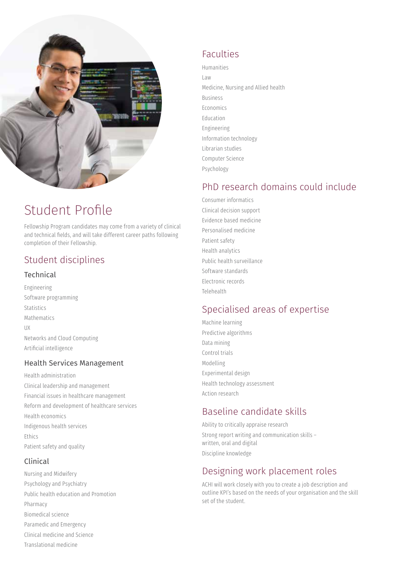

# Student Profile

Fellowship Program candidates may come from a variety of clinical and technical fields, and will take different career paths following completion of their Fellowship.

# Student disciplines

#### Technical

Engineering Software programming Statistics Mathematics UX Networks and Cloud Computing Artificial intelligence

#### Health Services Management

Health administration Clinical leadership and management Financial issues in healthcare management Reform and development of healthcare services Health economics Indigenous health services Ethics Patient safety and quality

#### Clinical

Nursing and Midwifery Psychology and Psychiatry Public health education and Promotion Pharmacy Biomedical science Paramedic and Emergency Clinical medicine and Science Translational medicine

# Faculties

Humanities Law Medicine, Nursing and Allied health Business Economics Education Engineering Information technology Librarian studies Computer Science Psychology

# PhD research domains could include

Consumer informatics Clinical decision support Evidence based medicine Personalised medicine Patient safety Health analytics Public health surveillance Software standards Electronic records Telehealth

# Specialised areas of expertise

Machine learning Predictive algorithms Data mining Control trials Modelling Experimental design Health technology assessment Action research

# Baseline candidate skills

Ability to critically appraise research Strong report writing and communication skills – written, oral and digital Discipline knowledge

# Designing work placement roles

ACHI will work closely with you to create a job description and outline KPI's based on the needs of your organisation and the skill set of the student.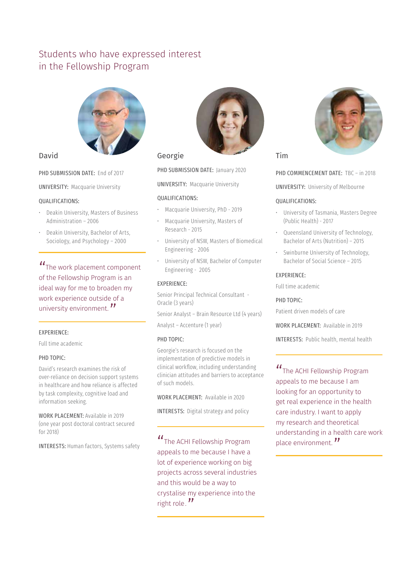# Students who have expressed interest in the Fellowship Program



#### David

PHD SUBMISSION DATE: End of 2017

UNIVERSITY: Macquarie University

#### QUALIFICATIONS:

- Deakin University, Masters of Business Administration – 2006
- Deakin University, Bachelor of Arts, Sociology, and Psychology – 2000

"The work placement component of the Fellowship Program is an ideal way for me to broaden my work experience outside of a university environment. "

#### EXPERIENCE:

Full time academic

#### PHD TOPIC:

David's research examines the risk of over-reliance on decision support systems in healthcare and how reliance is affected by task complexity, cognitive load and information seeking.

WORK PLACEMENT: Available in 2019 (one year post doctoral contract secured for 2018)

INTERESTS: Human factors, Systems safety



#### Georgie

PHD SUBMISSION DATE: January 2020

UNIVERSITY: Macquarie University

#### QUALIFICATIONS:

- Macquarie University, PhD 2019
- Macquarie University, Masters of Research - 2015
- University of NSW, Masters of Biomedical Engineering - 2006
- University of NSW, Bachelor of Computer Engineering - 2005

#### EXPERIENCE:

Senior Principal Technical Consultant - Oracle (3 years)

Senior Analyst – Brain Resource Ltd (4 years)

Analyst – Accenture (1 year)

#### PHD TOPIC:

Georgie's research is focused on the implementation of predictive models in clinical workflow, including understanding clinician attitudes and barriers to acceptance of such models.

WORK PLACEMENT: Available in 2020

INTERESTS: Digital strategy and policy

"The ACHI Fellowship Program appeals to me because I have a lot of experience working on big projects across several industries and this would be a way to crystalise my experience into the right role. "<br>————————————————————



Tim

PHD COMMENCEMENT DATE: TBC - in 2018

UNIVERSITY: University of Melbourne

#### QUALIFICATIONS:

- University of Tasmania, Masters Degree (Public Health) - 2017
- Queensland University of Technology, Bachelor of Arts (Nutrition) – 2015
- Swinburne University of Technology, Bachelor of Social Science – 2015

#### EXPERIENCE:

Full time academic

PHD TOPIC:

Patient driven models of care

WORK PLACEMENT: Available in 2019

INTERESTS: Public health, mental health

"The ACHI Fellowship Program appeals to me because I am looking for an opportunity to get real experience in the health care industry. I want to apply my research and theoretical understanding in a health care work place environment.<sup>"</sup>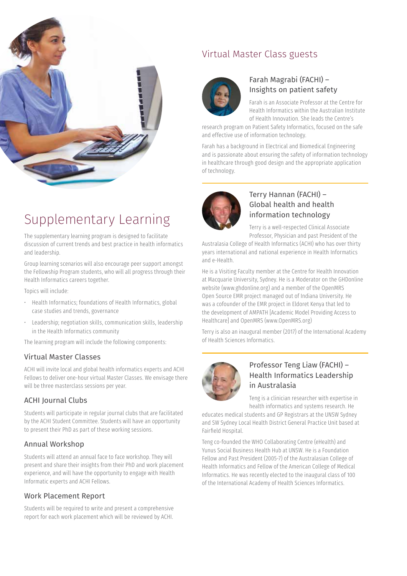

# Virtual Master Class guests



### Farah Magrabi (FACHI) – Insights on patient safety

Farah is an Associate Professor at the Centre for Health Informatics within the Australian Institute of Health Innovation. She leads the Centre's

research program on Patient Safety Informatics, focused on the safe and effective use of information technology.

Farah has a background in Electrical and Biomedical Engineering and is passionate about ensuring the safety of information technology in healthcare through good design and the appropriate application of technology.



### Terry Hannan (FACHI) – Global health and health information technology

Terry is a well-respected Clinical Associate Professor, Physician and past President of the

Australasia College of Health Informatics (ACHI) who has over thirty years international and national experience in Health Informatics and e-Health.

He is a Visiting Faculty member at the Centre for Health Innovation at Macquarie University, Sydney. He is a Moderator on the GHDonline website (www.ghdonline.org) and a member of the OpenMRS Open Source EMR project managed out of Indiana University. He was a cofounder of the EMR project in Eldoret Kenya that led to the development of AMPATH [Academic Model Providing Access to Healthcare] and OpenMRS (www.OpenMRS.org)

Terry is also an inaugural member (2017) of the International Academy of Health Sciences Informatics.



### Professor Teng Liaw (FACHI) – Health Informatics Leadership in Australasia

Teng is a clinician researcher with expertise in health informatics and systems research. He

educates medical students and GP Registrars at the UNSW Sydney and SW Sydney Local Health District General Practice Unit based at Fairfield Hospital.

Teng co-founded the WHO Collaborating Centre (eHealth) and Yunus Social Business Health Hub at UNSW. He is a Foundation Fellow and Past President (2005-7) of the Australasian College of Health Informatics and Fellow of the American College of Medical Informatics. He was recently elected to the inaugural class of 100 of the International Academy of Health Sciences Informatics.

# Supplementary Learning

The supplementary learning program is designed to facilitate discussion of current trends and best practice in health informatics and leadership.

Group learning scenarios will also encourage peer support amongst the Fellowship Program students, who will all progress through their Health Informatics careers together.

Topics will include:

- Health Informatics; foundations of Health Informatics, global case studies and trends, governance
- Leadership; negotiation skills, communication skills, leadership in the Health Informatics community

The learning program will include the following components:

#### Virtual Master Classes

ACHI will invite local and global health informatics experts and ACHI Fellows to deliver one-hour virtual Master Classes. We envisage there will be three masterclass sessions per year.

### ACHI Journal Clubs

Students will participate in regular journal clubs that are facilitated by the ACHI Student Committee. Students will have an opportunity to present their PhD as part of these working sessions.

#### Annual Workshop

Students will attend an annual face to face workshop. They will present and share their insights from their PhD and work placement experience, and will have the opportunity to engage with Health Informatic experts and ACHI Fellows.

#### Work Placement Report

Students will be required to write and present a comprehensive report for each work placement which will be reviewed by ACHI.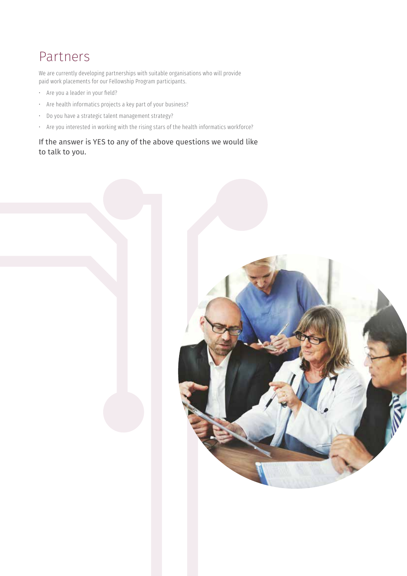# Partners

We are currently developing partnerships with suitable organisations who will provide paid work placements for our Fellowship Program participants.

- Are you a leader in your field?
- Are health informatics projects a key part of your business?
- Do you have a strategic talent management strategy?
- Are you interested in working with the rising stars of the health informatics workforce?

If the answer is YES to any of the above questions we would like to talk to you.